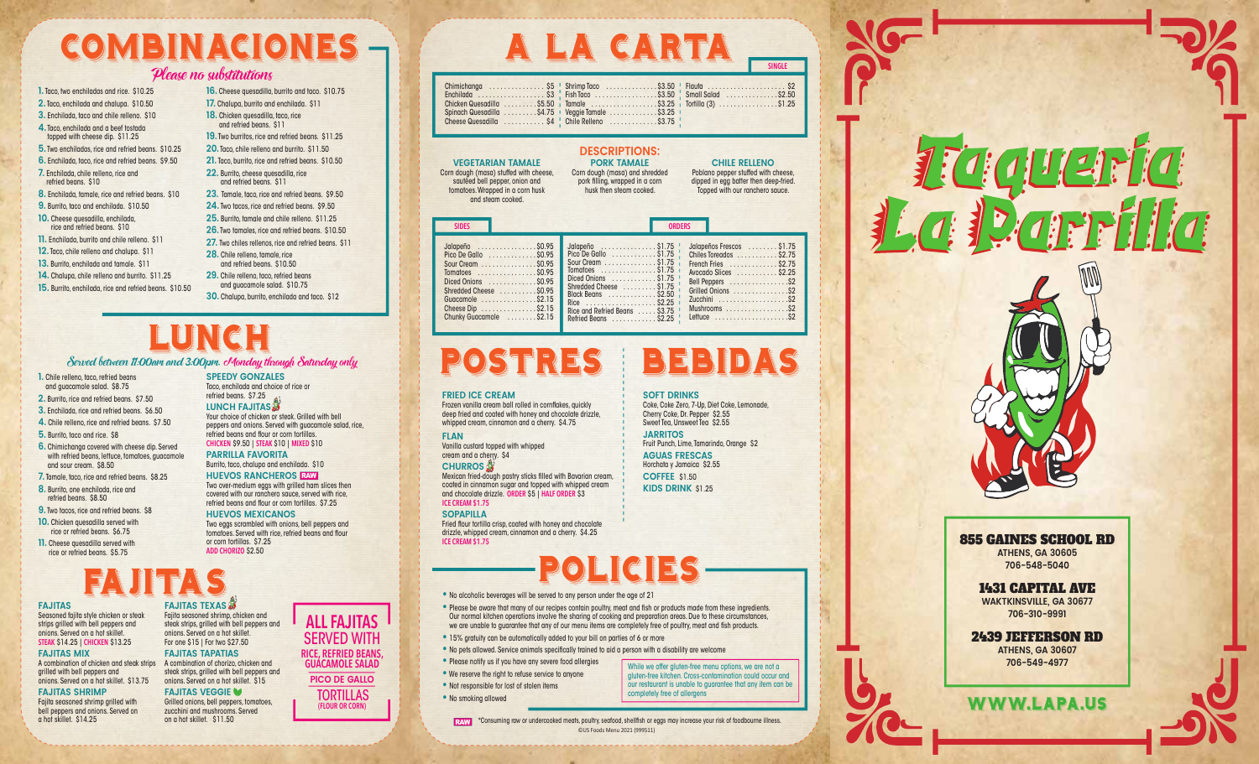# Combinaciones A La carta Combinaciones A La carta

#### Please no substitutions Please no substitutions

**1.** Taco, two enchiladas and rice. \$10.25 **1.** Taco, two enchiladas and rice. \$10.25 **2.** Taco, enchilada and chalupa. \$10.50 **2.** Taco, enchilada and chalupa. \$10.50 **3.** Enchilada, taco and chile relleno. \$10 **3.** Enchilada, taco and chile relleno. \$10 **4.** Taco, enchilada and a beef tostada **4.** Taco, enchilada and a beef tostada topped with cheese dip. \$11.25 topped with cheese dip. \$11.25 **5.** Two enchiladas, rice and refried beans. \$10.25 **5.** Two enchiladas, rice and refried beans. \$10.25 **6.** Enchilada, taco, rice and refried beans. \$9.50 **6.** Enchilada, taco, rice and refried beans. \$9.50 **7.** Enchilada, chile relleno, rice and **7.** Enchilada, chile relleno, rice and refried beans. \$10 refried beans. \$10 **8.** Enchilada, tamale, rice and refried beans. \$10 **8.** Enchilada, tamale, rice and refried beans. \$10 **9.** Burrito, taco and enchilada. \$10.50 **9.** Burrito, taco and enchilada. \$10.50 **10.** Cheese quesadilla, enchilada, **10.** Cheese quesadilla, enchilada, rice and refried beans. \$10 rice and refried beans. \$10 **11.** Enchilada, burrito and chile relleno. \$11 **11.** Enchilada, burrito and chile relleno. \$11 **12.** Taco, chile relleno and chalupa. \$11 **12.** Taco, chile relleno and chalupa. \$11 **13.** Burrito, enchilada and tamale. \$11 **13.** Burrito, enchilada and tamale. \$11 **14.** Chalupa, chile relleno and burrito. \$11.25 **14.** Chalupa, chile relleno and burrito. \$11.25 **15.** Burrito, enchilada, rice and refried beans. \$10.50 **15.** Burrito, enchilada, rice and refried beans. \$10.50 **16.** Cheese quesadilla, burrito and taco. \$10.75 **16.** Cheese quesadilla, burrito and taco. \$10.75 **17.** Chalupa, burrito and enchilada. \$11 **17.** Chalupa, burrito and enchilada. \$11 **18.** Chicken quesadilla, taco, rice **18.** Chicken quesadilla, taco, rice and refried beans. \$11 and refried beans. \$11 **19.** Two burritos, rice and refried beans. \$11.25 **19.** Two burritos, rice and refried beans. \$11.25 **20.** Taco, chile relleno and burrito. \$11.50 **20.** Taco, chile relleno and burrito. \$11.50 **21.** Taco, burrito, rice and refried beans. \$10.50 **21.** Taco, burrito, rice and refried beans. \$10.50 **22.** Burrito, cheese quesadilla, rice **22.** Burrito, cheese quesadilla, rice and refried beans. \$11 and refried beans. \$11 **23.** Tamale, taco, rice and refried beans. \$9.50 **23.** Tamale, taco, rice and refried beans. \$9.50 **24.** Two tacos, rice and refried beans. \$9.50 **24.** Two tacos, rice and refried beans. \$9.50 **25.** Burrito, tamale and chile relleno. \$11.25 **25.** Burrito, tamale and chile relleno. \$11.25 **26.** Two tamales, rice and refried beans. \$10.50 **26.** Two tamales, rice and refried beans. \$10.50 **27.** Two chiles rellenos, rice and refried beans. \$11 **27.** Two chiles rellenos, rice and refried beans. \$11 **28.** Chile relleno, tamale, rice **28.** Chile relleno, tamale, rice and refried beans. \$10.50 and refried beans. \$10.50 **29.** Chile relleno, taco, refried beans **29.** Chile relleno, taco, refried beans and guacamole salad. \$10.75 and guacamole salad. \$10.75 **30.** Chalupa, burrito, enchilada and taco. \$12 **30.** Chalupa, burrito, enchilada and taco. \$12

# LUNCH<br>im and 3.00pm. cMonday through Saturday only<br>SPEED COSTRES BEBIDAS **POSTRES BEBIDAS**

#### Served between 11:00am and 3:00pm. Monday through Saturday only Served between 11:00am and 3:00pm. Monday through Saturday only

- **1.** Chile relleno, taco, refried beans **1.** Chile relleno, taco, refried beans and guacamole salad. \$8.75 and guacamole salad. \$8.75
- **2.** Burrito, rice and refried beans. \$7.50 **2.** Burrito, rice and refried beans. \$7.50
- **3.** Enchilada, rice and refried beans. \$6.50 **3.** Enchilada, rice and refried beans. \$6.50
- **4.** Chile relleno, rice and refried beans. \$7.50 **4.** Chile relleno, rice and refried beans. \$7.50
- **5.** Burrito, taco and rice. \$8 **5.** Burrito, taco and rice. \$8
- **6.** Chimichanga covered with cheese dip. Served **6.** Chimichanga covered with cheese dip. Served with refried beans, lettuce, tomatoes, guacamole with refried beans, lettuce, tomatoes, guacamole and sour cream. \$8.50 and sour cream. \$8.50
- **7.** Tamale, taco, rice and refried beans. \$8.25 **7.** Tamale, taco, rice and refried beans. \$8.25 **8.** Burrito, one enchilada, rice and **8.** Burrito, one enchilada, rice and
- refried beans. \$8.50 refried beans. \$8.50
- **9.** Two tacos, rice and refried beans. \$8 **9.** Two tacos, rice and refried beans. \$8 **10.** Chicken quesadilla served with **10.** Chicken quesadilla served with
- rice or refried beans. \$6.75 rice or refried beans. \$6.75 **11.** Cheese quesadilla served with **11.** Cheese quesadilla served with rice or refried beans. \$5.75 rice or refried beans. \$5.75

# Fajitas

#### **FAJITAS FAJITAS** Seasoned fajita style chicken or steak Seasoned fajita style chicken or steak strips grilled with bell peppers and strips grilled with bell peppers and onions. Served on a hot skillet. onions. Served on a hot skillet. **STEAK** \$14.25 | **CHICKEN** \$13.25 **STEAK** \$14.25 | **CHICKEN** \$13.25

#### **FAJITAS MIX FAJITAS MIX**

A combination of chicken and steak strips A combination of chorizo, chicken and A combination of chicken and steak strips A combination of chorizo, chicken and grilled with bell peppers and grilled with bell peppers and onions. Served on a hot skillet. \$13.75 onions. Served on a hot skillet. \$13.75

## **FAJITAS SHRIMP FAJITAS SHRIMP**

Fajita seasoned shrimp grilled with Fajita seasoned shrimp grilled with bell peppers and onions. Served on bell peppers and onions. Served on a hot skillet. \$14.25 a hot skillet. \$14.25

**SPEEDY GONZALES SPEEDY GONZALES** Taco, enchilada and choice of rice or Taco, enchilada and choice of rice or refried beans. \$7.25 refried beans. \$7.25 **LUNCH FAJITAS LUNCH FAJITAS** Your choice of chicken or steak. Grilled with bell Your choice of chicken or steak. Grilled with bell peppers and onions. Served with guacamole salad, rice, peppers and onions. Served with guacamole salad, rice, refried beans and flour or corn tortillas. refried beans and flour or corn tortillas. **CHICKEN** \$9.50 | **STEAK** \$10 | **MIXED** \$10 **CHICKEN** \$9.50 | **STEAK** \$10 | **MIXED** \$10

**PARRILLA FAVORITA PARRILLA FAVORITA** Burrito, taco, chalupa and enchilada. \$10 Burrito, taco, chalupa and enchilada. \$10

**HUEVOS RANCHEROS** RAW **HUEVOS RANCHEROS** RAW Two over-medium eggs with grilled ham slices then Two over-medium eggs with grilled ham slices then covered with our ranchero sauce, served with rice, covered with our ranchero sauce, served with rice, refried beans and flour or corn tortillas. \$7.25 refried beans and flour or corn tortillas. \$7.25

#### **HUEVOS MEXICANOS HUEVOS MEXICANOS**

Two eggs scrambled with onions, bell peppers and Two eggs scrambled with onions, bell peppers and tomatoes. Served with rice, refried beans and flour tomatoes. Served with rice, refried beans and flour or corn tortillas. \$7.25 or corn tortillas. \$7.25 **ADD CHORIZO** \$2.50 **ADD CHORIZO** \$2.50

# Fajitas

**FAJITAS TEXAS FAJITAS TEXAS** Fajita seasoned shrimp, chicken and Fajita seasoned shrimp, chicken and steak strips, grilled with bell peppers and steak strips, grilled with bell peppers and onions. Served on a hot skillet. onions. Served on a hot skillet. For one \$15 | For two \$27.50 For one \$15 | For two \$27.50 **FAJITAS TAPATIAS FAJITAS TAPATIAS**

#### steak strips, grilled with bell peppers and steak strips, grilled with bell peppers and onions. Served on a hot skillet. \$15 onions. Served on a hot skillet. \$15 **FAJITAS VEGGIE FAJITAS VEGGIE**

Grilled onions, bell peppers, tomatoes, Grilled onions, bell peppers, tomatoes, zucchini and mushrooms. Served zucchini and mushrooms. Served

|                | Æ<br>$=$ | 74                     | 74<br>m        | uci E |
|----------------|----------|------------------------|----------------|-------|
| n <sub>n</sub> |          | Shrimn Trico<br>$\sim$ | 5350<br>Flauta |       |

**SINGLE**

|  |  | Chimichanga  \$5 Shrimp Taco \$3.50 Flauta  \$2                 |  |
|--|--|-----------------------------------------------------------------|--|
|  |  |                                                                 |  |
|  |  | Chicken Quesadilla \$5.50   Tamale \$3.25   Tortilla (3) \$1.25 |  |
|  |  | Spinach Quesadilla \$4.75   Veggie Tamale \$3.25                |  |
|  |  | Cheese Quesadilla  \$4   Chile Relleno  \$3.75                  |  |

#### Jalapeño ................ \$0.95 Jalapeño ................ \$0.95 Pico De Gallo ............... \$0.95 Sour Cream ............... \$0.95 Sour Cream ............... \$0.95 Tomatoes ................ \$0.95 Tomatoes ................ \$0.95 Diced Onions ............. \$0.95 Diced Onions ............. \$0.95 Shredded Cheese .......... \$0.95 Shredded Cheese .......... \$0.95 Guacamole ............... \$2.15 Guacamole ............... \$2.15 Cheese Dip ............... \$2.15 Cheese Dip ............... \$2.15 Chunky Guacamole ........ \$2.15 Chunky Guacamole ........ \$2.15 **SIDES ORDERS** Jalapeño ............... \$1.75 Jalapeño ............... \$1.75 Pico De Gallo<br>Sour Cream . . . . . . . . . . . . . \$1.75 ; Tomatoes ............... \$1.75 Tomatoes ............... \$1.75 Diced Onions . . . . . . . . . . . \$1.75 '<br>Shredded Cheese . . . . . . . . \$1.75 ' Black Beans ............. \$2.50 Black Beans ............. \$2.50 Rice ................... \$2.25 Rice and Refried Beans ..... \$3.75 Rice ................... \$2.25 Rice and Refried Beans ..... \$3.75 Refried Beans ............ \$2.25 Refried Beans ............ \$2.25 Jalapeños Frescos ........ \$1.75 Jalapeños Frescos ........ \$1.75 Chiles Toreados ........... \$2.75 Chiles Toreados ........... \$2.75 French Fries ............. \$2.75 French Fries ............. \$2.75 Avocado Slices ........... \$2.25 Avocado Slices ........... \$2.25 Bell Peppers ................\$2 Bell Peppers ................\$2 Grilled Onions ...............\$2 Grilled Onions ...............\$2 Zucchini ...................\$2 Zucchini ...................\$2 Mushrooms .................\$2 Mushrooms .................\$2 Lettuce ....................\$2 Lettuce ....................\$2 **DESCRIPTIONS: DESCRIPTIONS: VEGETARIAN TAMALE VEGETARIAN TAMALE** Corn dough (masa) stuffed with cheese, Corn dough (masa) stuffed with cheese, sautéed bell pepper, onion and sautéed bell pepper, onion and tomatoes. Wrapped in a corn husk tomatoes. Wrapped in a corn husk and steam cooked. and steam cooked. **PORK TAMALE PORK TAMALE** Corn dough (masa) and shredded Corn dough (masa) and shredded pork filling, wrapped in a corn pork filling, wrapped in a corn husk then steam cooked. husk then steam cooked. **CHILE RELLENO CHILE RELLENO** Poblano pepper stuffed with cheese, Poblano pepper stuffed with cheese, dipped in egg batter then deep-fried. dipped in egg batter then deep-fried. Topped with our ranchero sauce. Topped with our ranchero sauce. **SIDES ORDERS**

#### **FRIED ICE CREAM FRIED ICE CREAM**

Frozen vanilla cream ball rolled in cornflakes, quickly Frozen vanilla cream ball rolled in cornflakes, quickly deep fried and coated with honey and chocolate drizzle, deep fried and coated with honey and chocolate drizzle, whipped cream, cinnamon and a cherry. \$4.75 whipped cream, cinnamon and a cherry. \$4.75

#### **FLAN FLAN**

Vanilla custard topped with whipped Vanilla custard topped with whipped cream and a cherry. \$4 cream and a cherry. \$4

#### **CHURROS CHURROS**

Mexican fried-dough pastry sticks filled with Bavarian cream, Mexican fried-dough pastry sticks filled with Bavarian cream, coated in cinnamon sugar and topped with whipped cream coated in cinnamon sugar and topped with whipped cream and chocolate drizzle. **ORDER** \$5 | **HALF ORDER** \$3 and chocolate drizzle. **ORDER** \$5 | **HALF ORDER** \$3 **ICE CREAM \$1.75 ICE CREAM \$1.75**

#### **SOPAPILLA SOPAPILLA**

Fried flour tortilla crisp, coated with honey and chocolate Fried flour tortilla crisp, coated with honey and chocolate drizzle, whipped cream, cinnamon and a cherry. \$4.25 drizzle, whipped cream, cinnamon and a cherry. \$4.25 **ICE CREAM \$1.75 ICE CREAM \$1.75**

## Policies Policies

**SOFT DRINKS SOFT DRINKS**

**JARRITOS JARRITOS**

**AGUAS FRESCAS AGUAS FRESCAS** Horchata y Jamaica \$2.55 Horchata y Jamaica \$2.55 **COFFEE** \$1.50 **COFFEE** \$1.50 **KIDS DRINK** \$1.25 **KIDS DRINK** \$1.25

Coke, Coke Zero, 7-Up, Diet Coke, Lemonade, Coke, Coke Zero, 7-Up, Diet Coke, Lemonade, Cherry Coke, Dr. Pepper \$2.55 Cherry Coke, Dr. Pepper \$2.55 Sweet Tea, Unsweet Tea \$2.55 Sweet Tea, Unsweet Tea \$2.55

Fruit Punch, Lime, Tamarindo, Orange \$2 Fruit Punch, Lime, Tamarindo, Orange \$2

**•** No alcoholic beverages will be served to any person under the age of 21 **•** No alcoholic beverages will be served to any person under the age of 21

- . Please be aware that many of our recipes contain poultry, meat and fish or products made from these ingredients. Our normal kitchen operations involve the sharing of cooking and preparation areas. Due to these circumstances, Our normal kitchen operations involve the sharing of cooking and preparation areas. Due to these circumstances, we are unable to guarantee that any of our menu items are completely free of poultry, meat and fish products. we are unable to guarantee that any of our menu items are completely free of poultry, meat and fish products.
- **•** 15% gratuity can be automatically added to your bill on parties of 6 or more **•** 15% gratuity can be automatically added to your bill on parties of 6 or more
- **•** No pets allowed. Service animals specifically trained to aid a person with a disability are welcome **•** No pets allowed. Service animals specifically trained to aid a person with a disability are welcome
- **•** Please notify us if you have any severe food allergies **•** Please notify us if you have any severe food allergies **•** We reserve the right to refuse service to anyone **•** We reserve the right to refuse service to anyone **•** Not responsible for lost of stolen items **•** Not responsible for lost of stolen items
- **•** No smoking allowed **•** No smoking allowed

While we offer gluten-free menu options, we are not a While we offer gluten-free menu options, we are not a gluten-free kitchen. Cross-contamination could occur and gluten-free kitchen. Cross-contamination could occur and our restaurant is unable to guarantee that any item can be completely free of allergens completely free of allergens

on a hot skillet. \$11.50 **CONFIDENTIAL CONSUMING TO A CONSUMING TO A CONSUMING TO A CONSUMING TO A CONSUMING TO A CONSUMING TO A CONSUMING TO A CONSUMING THE SERVICE OF THE SERVICE OF THE SERVICE OF THE SERVICE OF THE SERV** ©US Foods Menu 2021 (999511) ©US Foods Menu 2021 (999511)





#### 855 GAINES SCHOOL RD 855 GAINES SCHOOL RD **ATHENS, GA 30605 ATHENS, GA 30605 706-548-5040 706-548-5040**

#### 1431 CAPITAL AVE 1431 CAPITAL AVE **WAKTKINSVILLE, GA 30677 WAKTKINSVILLE, GA 30677 706-310-9991 706-310-9991**

#### 2439 JEFFERSON RD 2439 JEFFERSON RD **ATHENS, GA 30607 ATHENS, GA 30607 706-549-4977 706-549-4977**



**ALL FAJITAS ALL FAJITAS**  SERVED WITH SERVED WITH

#### **RICE, REFRIED BEANS, RICE, REFRIED BEANS, GUACAMOLE SALAD GUACAMOLE SALAD**

**PICO DE GALLO PICO DE GALLO**  TORTILLAS TORTILLAS **(FLOUR OR CORN) (FLOUR OR CORN)**